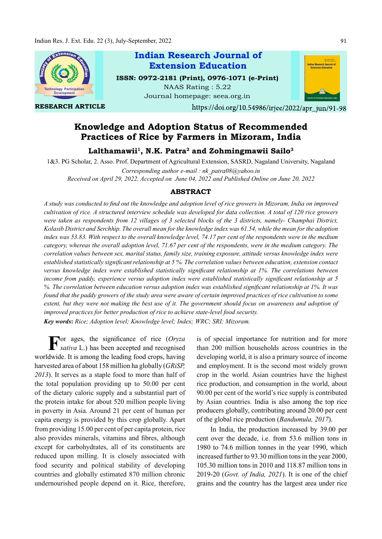

RESEARCH ARTICLE

Indian Research Journal of ISSN: 0972-2181 (Print), 0976-1071 (e-Print) NAAS Rating : 5.22 Extension Education

Journal homepage: seea.org.in



https://doi.org/10.54986/irjee/2022/apr\_jun/91-98

# Knowledge and Adoption Status of Recommended Practices of Rice by Farmers in Mizoram, India

## Lalthamawii $^{\rm l}$ , N.K. Patra $^{\rm 2}$  and Zohmingmawii Sailo $^{\rm 3}$

1&3. PG Scholar, 2. Asso. Prof. Department of Agricultural Extension, SASRD, Nagaland University, Nagaland

Corresponding author e-mail : nk\_patra08@yahoo.in Received on April 29, 2022, Accepted on June 04, 2022 and Published Online on June 20, 2022

## ABSTRACT

A study was conducted to find out the knowledge and adoption level of rice growers in Mizoram, India on improved cultivation of rice. A structured interview schedule was developed for data collection. A total of 120 rice growers were taken as respondents from 12 villages of 3 selected blocks of the 3 districts, namely- Champhai District, Kolasib District and Serchhip. The overall mean for the knowledge index was 61.54, while the mean for the adoption index was 53.83. With respect to the overall knowledge level, 74.17 per cent of the respondents were in the medium category, whereas the overall adoption level, 71.67 per cent of the respondents, were in the medium category. The correlation values between sex, marital status, family size, training exposure, attitude versus knowledge index were established statistically significant relationship at 5 %. The correlation values between education, extension contact versus knowledge index were established statistically significant relationship at 1%. The correlations between income from paddy, experience versus adoption index were established statistically significant relationship at 5 %. The correlation between education versus adoption index was established significant relationship at 1%. It was found that the paddy growers of the study area were aware of certain improved practices of rice cultivation to some extent, but they were not making the best use of it. The government should focus on awareness and adoption of improved practices for better production of rice to achieve state-level food security.

Key words: Rice; Adoption level; Knowledge level; Index; WRC; SRI; Mizoram.

For ages, the significance of rice  $(Oryza$  is of special is sativa L.) has been accepted and recognised than 200 milli sativa L.) has been accepted and recognised worldwide. It is among the leading food crops, having harvested area of about 158 million ha globally (GRiSP, 2013). It serves as a staple food to more than half of the total population providing up to 50.00 per cent of the dietary caloric supply and a substantial part of the protein intake for about 520 million people living in poverty in Asia. Around 21 per cent of human per capita energy is provided by this crop globally. Apart from providing 15.00 per cent of per capita protein, rice also provides minerals, vitamins and fibres, although except for carbohydrates, all of its constituents are reduced upon milling. It is closely associated with food security and political stability of developing countries and globally estimated 870 million chronic undernourished people depend on it. Rice, therefore,

is of special importance for nutrition and for more than 200 million households across countries in the developing world, it is also a primary source of income and employment. It is the second most widely grown crop in the world. Asian countries have the highest rice production, and consumption in the world, about 90.00 per cent of the world's rice supply is contributed by Asian countries. India is also among the top rice producers globally, contributing around 20.00 per cent of the global rice production (Bandumula, 2017).

In India, the production increased by 39.00 per cent over the decade, i.e. from 53.6 million tons in 1980 to 74.6 million tonnes in the year 1990, which increased further to 93.30 million tons in the year 2000, 105.30 million tons in 2010 and 118.87 million tons in 2019-20 (Govt. of India, 2021). It is one of the chief grains and the country has the largest area under rice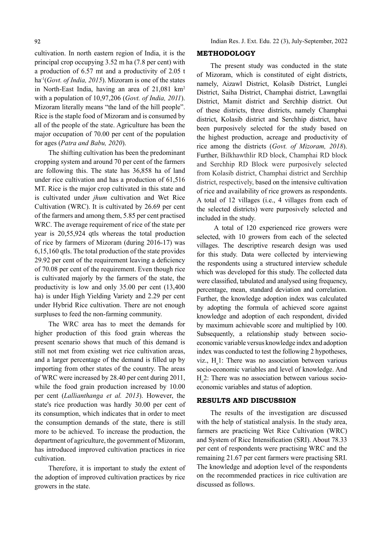cultivation. In north eastern region of India, it is the principal crop occupying 3.52 m ha (7.8 per cent) with a production of 6.57 mt and a productivity of 2.05 t ha<sup>-1</sup>(Govt. of India, 2015). Mizoram is one of the states in North-East India, having an area of 21,081 km2 with a population of 10,97,206 (Govt. of India, 2011). Mizoram literally means "the land of the hill people". Rice is the staple food of Mizoram and is consumed by all of the people of the state. Agriculture has been the major occupation of 70.00 per cent of the population for ages (Patra and Babu, 2020).

The shifting cultivation has been the predominant cropping system and around 70 per cent of the farmers are following this. The state has 36,858 ha of land under rice cultivation and has a production of 61,516 MT. Rice is the major crop cultivated in this state and is cultivated under jhum cultivation and Wet Rice Cultivation (WRC). It is cultivated by 26.69 per cent of the farmers and among them, 5.85 per cent practised WRC. The average requirement of rice of the state per year is 20,55,924 qtls whereas the total production of rice by farmers of Mizoram (during 2016-17) was 6,15,160 qtls. The total production of the state provides 29.92 per cent of the requirement leaving a deficiency of 70.08 per cent of the requirement. Even though rice is cultivated majorly by the farmers of the state, the productivity is low and only 35.00 per cent (13,400 ha) is under High Yielding Variety and 2.29 per cent under Hybrid Rice cultivation. There are not enough surpluses to feed the non-farming community.

The WRC area has to meet the demands for higher production of this food grain whereas the present scenario shows that much of this demand is still not met from existing wet rice cultivation areas, and a larger percentage of the demand is filled up by importing from other states of the country. The areas of WRC were increased by 28.40 per cent during 2011, while the food grain production increased by 10.00 per cent (Lallianthanga et al. 2013). However, the state's rice production was hardly 30.00 per cent of its consumption, which indicates that in order to meet the consumption demands of the state, there is still more to be achieved. To increase the production, the department of agriculture, the government of Mizoram, has introduced improved cultivation practices in rice cultivation.

Therefore, it is important to study the extent of the adoption of improved cultivation practices by rice growers in the state.

### METHODOLOGY

The present study was conducted in the state of Mizoram, which is constituted of eight districts, namely, Aizawl District, Kolasib District, Lunglei District, Saiha District, Champhai district, Lawngtlai District, Mamit district and Serchhip district. Out of these districts, three districts, namely Champhai district, Kolasib district and Serchhip district, have been purposively selected for the study based on the highest production, acreage and productivity of rice among the districts (Govt. of Mizoram, 2018). Further, Bilkhawthlir RD block, Champhai RD block and Serchhip RD Block were purposively selected from Kolasib district, Champhai district and Serchhip district, respectively, based on the intensive cultivation of rice and availability of rice growers as respondents. A total of 12 villages (i.e., 4 villages from each of the selected districts) were purposively selected and included in the study.

 A total of 120 experienced rice growers were selected, with 10 growers from each of the selected villages. The descriptive research design was used for this study. Data were collected by interviewing the respondents using a structured interview schedule which was developed for this study. The collected data were classified, tabulated and analysed using frequency, percentage, mean, standard deviation and correlation. Further, the knowledge adoption index was calculated by adopting the formula of achieved score against knowledge and adoption of each respondent, divided by maximum achievable score and multiplied by 100. Subsequently, a relationship study between socioeconomic variable versus knowledge index and adoption index was conducted to test the following 2 hypotheses, viz.,  $H_0$ 1: There was no association between various socio-economic variables and level of knowledge. And  $H<sub>o</sub>$ 2: There was no association between various socioeconomic variables and status of adoption.

#### RESULTS AND DISCUSSION

The results of the investigation are discussed with the help of statistical analysis. In the study area, farmers are practicing Wet Rice Cultivation (WRC) and System of Rice Intensification (SRI). About 78.33 per cent of respondents were practising WRC and the remaining 21.67 per cent farmers were practising SRI. The knowledge and adoption level of the respondents on the recommended practices in rice cultivation are discussed as follows.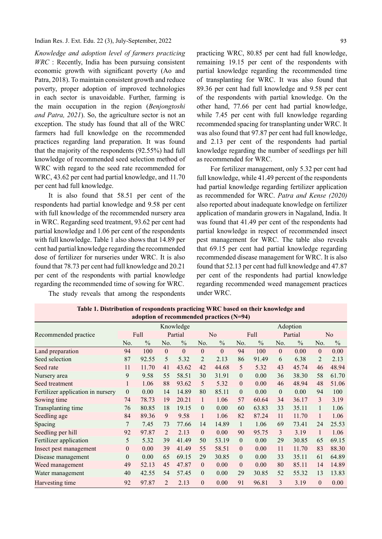Indian Res. J. Ext. Edu. 22 (3), July-September, 2022

Knowledge and adoption level of farmers practicing WRC : Recently, India has been pursuing consistent economic growth with significant poverty (Ao and Patra, 2018). To maintain consistent growth and reduce poverty, proper adoption of improved technologies in each sector is unavoidable. Further, farming is the main occupation in the region (Benjongtoshi and Patra, 2021). So, the agriculture sector is not an exception. The study has found that all of the WRC farmers had full knowledge on the recommended practices regarding land preparation. It was found that the majority of the respondents (92.55%) had full knowledge of recommended seed selection method of WRC with regard to the seed rate recommended for WRC, 43.62 per cent had partial knowledge, and 11.70 per cent had full knowledge.

It is also found that 58.51 per cent of the respondents had partial knowledge and 9.58 per cent with full knowledge of the recommended nursery area in WRC. Regarding seed treatment, 93.62 per cent had partial knowledge and 1.06 per cent of the respondents with full knowledge. Table 1 also shows that 14.89 per cent had partial knowledge regarding the recommended dose of fertilizer for nurseries under WRC. It is also found that 78.73 per cent had full knowledge and 20.21 per cent of the respondents with partial knowledge regarding the recommended time of sowing for WRC.

The study reveals that among the respondents

practicing WRC, 80.85 per cent had full knowledge, remaining 19.15 per cent of the respondents with partial knowledge regarding the recommended time of transplanting for WRC. It was also found that 89.36 per cent had full knowledge and 9.58 per cent of the respondents with partial knowledge. On the other hand, 77.66 per cent had partial knowledge, while 7.45 per cent with full knowledge regarding recommended spacing for transplanting under WRC. It was also found that 97.87 per cent had full knowledge, and 2.13 per cent of the respondents had partial knowledge regarding the number of seedlings per hill as recommended for WRC.

For fertilizer management, only 5.32 per cent had full knowledge, while 41.49 percent of the respondents had partial knowledge regarding fertilizer application as recommended for WRC. Patra and Kense (2020) also reported about inadequate knowledge on fertilizer application of mandarin growers in Nagaland, India. It was found that 41.49 per cent of the respondents had partial knowledge in respect of recommended insect pest management for WRC. The table also reveals that 69.15 per cent had partial knowledge regarding recommended disease management for WRC. It is also found that 52.13 per cent had full knowledge and 47.87 per cent of the respondents had partial knowledge regarding recommended weed management practices under WRC.

|                                   |                  | adoption of recommended practices (N-94) |                |                |                  |               |                |               |              |               |                  |                |
|-----------------------------------|------------------|------------------------------------------|----------------|----------------|------------------|---------------|----------------|---------------|--------------|---------------|------------------|----------------|
|                                   |                  | Knowledge                                |                |                |                  |               | Adoption       |               |              |               |                  |                |
| Recommended practice              |                  | Full                                     |                | Partial        |                  | No            |                | Full          |              | Partial       |                  | N <sub>o</sub> |
|                                   | No.              | $\frac{0}{0}$                            | No.            | $\frac{0}{0}$  | No.              | $\frac{0}{0}$ | No.            | $\frac{0}{0}$ | No.          | $\frac{0}{0}$ | No.              | $\frac{0}{0}$  |
| Land preparation                  | 94               | 100                                      | $\mathbf{0}$   | $\overline{0}$ | $\mathbf{0}$     | $\theta$      | 94             | 100           | $\mathbf{0}$ | 0.00          | $\mathbf{0}$     | 0.00           |
| Seed selection                    | 87               | 92.55                                    | 5              | 5.32           | 2                | 2.13          | 86             | 91.49         | 6            | 6.38          | 2                | 2.13           |
| Seed rate                         | 11               | 11.70                                    | 41             | 43.62          | 42               | 44.68         | 5              | 5.32          | 43           | 45.74         | 46               | 48.94          |
| Nursery area                      | 9                | 9.58                                     | 55             | 58.51          | 30               | 31.91         | $\theta$       | 0.00          | 36           | 38.30         | 58               | 61.70          |
| Seed treatment                    | 1                | 1.06                                     | 88             | 93.62          | 5                | 5.32          | $\theta$       | 0.00          | 46           | 48.94         | 48               | 51.06          |
| Fertilizer application in nursery | $\boldsymbol{0}$ | 0.00                                     | 14             | 14.89          | 80               | 85.11         | $\theta$       | 0.00          | $\theta$     | 0.00          | 94               | 100            |
| Sowing time                       | 74               | 78.73                                    | 19             | 20.21          | $\mathbf{1}$     | 1.06          | 57             | 60.64         | 34           | 36.17         | 3                | 3.19           |
| Transplanting time                | 76               | 80.85                                    | 18             | 19.15          | $\overline{0}$   | 0.00          | 60             | 63.83         | 33           | 35.11         | 1                | 1.06           |
| Seedling age                      | 84               | 89.36                                    | 9              | 9.58           | $\mathbf{1}$     | 1.06          | 82             | 87.24         | 11           | 11.70         | $\mathbf{1}$     | 1.06           |
| Spacing                           | 7                | 7.45                                     | 73             | 77.66          | 14               | 14.89         | 1              | 1.06          | 69           | 73.41         | 24               | 25.53          |
| Seedling per hill                 | 92               | 97.87                                    | $\overline{2}$ | 2.13           | $\mathbf{0}$     | 0.00          | 90             | 95.75         | 3            | 3.19          | $\mathbf{1}$     | 1.06           |
| Fertilizer application            | 5                | 5.32                                     | 39             | 41.49          | 50               | 53.19         | $\theta$       | 0.00          | 29           | 30.85         | 65               | 69.15          |
| Insect pest management            | $\boldsymbol{0}$ | 0.00                                     | 39             | 41.49          | 55               | 58.51         | $\theta$       | 0.00          | 11           | 11.70         | 83               | 88.30          |
| Disease management                | $\theta$         | 0.00                                     | 65             | 69.15          | 29               | 30.85         | $\overline{0}$ | 0.00          | 33           | 35.11         | 61               | 64.89          |
| Weed management                   | 49               | 52.13                                    | 45             | 47.87          | $\overline{0}$   | 0.00          | $\theta$       | 0.00          | 80           | 85.11         | 14               | 14.89          |
| Water management                  | 40               | 42.55                                    | 54             | 57.45          | $\boldsymbol{0}$ | 0.00          | 29             | 30.85         | 52           | 55.32         | 13               | 13.83          |
| Harvesting time                   | 92               | 97.87                                    | $\overline{2}$ | 2.13           | $\mathbf{0}$     | 0.00          | 91             | 96.81         | 3            | 3.19          | $\boldsymbol{0}$ | 0.00           |

Table 1. Distribution of respondents practicing WRC based on their knowledge and adoption of recommended practices (N=94)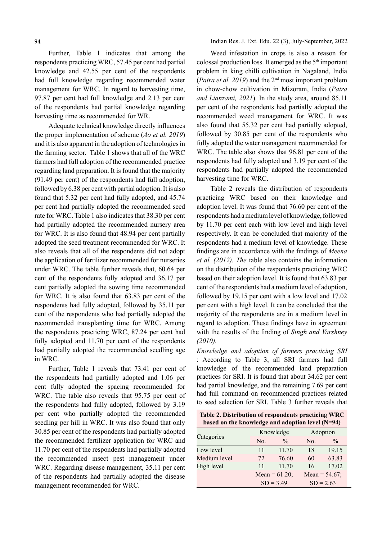Further, Table 1 indicates that among the respondents practicing WRC, 57.45 per cent had partial knowledge and 42.55 per cent of the respondents had full knowledge regarding recommended water management for WRC. In regard to harvesting time, 97.87 per cent had full knowledge and 2.13 per cent of the respondents had partial knowledge regarding harvesting time as recommended for WR.

Adequate technical knowledge directly influences the proper implementation of scheme (Ao et al. 2019) and it is also apparent in the adoption of technologies in the farming sector. Table 1 shows that all of the WRC farmers had full adoption of the recommended practice regarding land preparation. It is found that the majority (91.49 per cent) of the respondents had full adoption, followed by 6.38 per cent with partial adoption. It is also found that 5.32 per cent had fully adopted, and 45.74 per cent had partially adopted the recommended seed rate for WRC. Table 1 also indicates that 38.30 per cent had partially adopted the recommended nursery area for WRC. It is also found that 48.94 per cent partially adopted the seed treatment recommended for WRC. It also reveals that all of the respondents did not adopt the application of fertilizer recommended for nurseries under WRC. The table further reveals that, 60.64 per cent of the respondents fully adopted and 36.17 per cent partially adopted the sowing time recommended for WRC. It is also found that 63.83 per cent of the respondents had fully adopted, followed by 35.11 per cent of the respondents who had partially adopted the recommended transplanting time for WRC. Among the respondents practicing WRC, 87.24 per cent had fully adopted and 11.70 per cent of the respondents had partially adopted the recommended seedling age in WRC.

Further, Table 1 reveals that 73.41 per cent of the respondents had partially adopted and 1.06 per cent fully adopted the spacing recommended for WRC. The table also reveals that 95.75 per cent of the respondents had fully adopted, followed by 3.19 per cent who partially adopted the recommended seedling per hill in WRC. It was also found that only 30.85 per cent of the respondents had partially adopted the recommended fertilizer application for WRC and 11.70 per cent of the respondents had partially adopted the recommended insect pest management under WRC. Regarding disease management, 35.11 per cent of the respondents had partially adopted the disease management recommended for WRC.

Indian Res. J. Ext. Edu. 22 (3), July-September, 2022

Weed infestation in crops is also a reason for colossal production loss. It emerged as the  $5<sup>th</sup>$  important problem in king chilli cultivation in Nagaland, India (*Patra et al. 2019*) and the  $2<sup>nd</sup>$  most important problem in chow-chow cultivation in Mizoram, India (Patra and Lianzami, 2021). In the study area, around 85.11 per cent of the respondents had partially adopted the recommended weed management for WRC. It was also found that 55.32 per cent had partially adopted, followed by 30.85 per cent of the respondents who fully adopted the water management recommended for WRC. The table also shows that 96.81 per cent of the respondents had fully adopted and 3.19 per cent of the respondents had partially adopted the recommended harvesting time for WRC.

Table 2 reveals the distribution of respondents practicing WRC based on their knowledge and adoption level. It was found that 76.60 per cent of the respondents had a medium level of knowledge, followed by 11.70 per cent each with low level and high level respectively. It can be concluded that majority of the respondents had a medium level of knowledge. These findings are in accordance with the findings of Meena et al. (2012). The table also contains the information on the distribution of the respondents practicing WRC based on their adoption level. It is found that 63.83 per cent of the respondents had a medium level of adoption, followed by 19.15 per cent with a low level and 17.02 per cent with a high level. It can be concluded that the majority of the respondents are in a medium level in regard to adoption. These findings have in agreement with the results of the finding of Singh and Varshney (2010).

Knowledge and adoption of farmers practicing SRI : According to Table 3, all SRI farmers had full knowledge of the recommended land preparation practices for SRI. It is found that about 34.62 per cent had partial knowledge, and the remaining 7.69 per cent had full command on recommended practices related to seed selection for SRI. Table 3 further reveals that

Table 2. Distribution of respondents practicing WRC based on the knowledge and adoption level (N=94)

|              |     | Knowledge        | Adoption    |                  |  |  |  |
|--------------|-----|------------------|-------------|------------------|--|--|--|
| Categories   | No. | $\frac{0}{0}$    | No.         | $\frac{0}{0}$    |  |  |  |
| Low level    | 11  | 11.70            | 18          | 19.15            |  |  |  |
| Medium level | 72  | 76.60            | 60          | 63.83            |  |  |  |
| High level   | 11  | 11.70            | 16          | 17.02            |  |  |  |
|              |     | Mean = $61.20$ ; |             | Mean = $54.67$ ; |  |  |  |
|              |     | $SD = 3.49$      | $SD = 2.63$ |                  |  |  |  |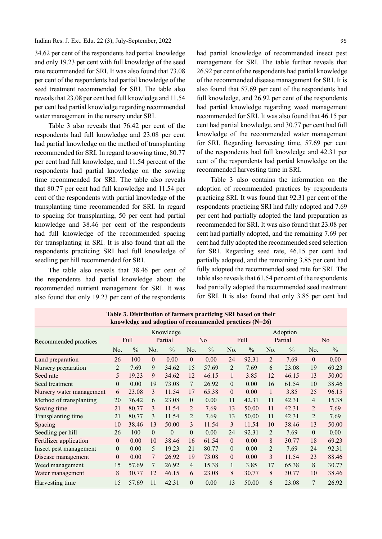34.62 per cent of the respondents had partial knowledge and only 19.23 per cent with full knowledge of the seed rate recommended for SRI. It was also found that 73.08 per cent of the respondents had partial knowledge of the seed treatment recommended for SRI. The table also reveals that 23.08 per cent had full knowledge and 11.54 per cent had partial knowledge regarding recommended water management in the nursery under SRI.

Table 3 also reveals that 76.42 per cent of the respondents had full knowledge and 23.08 per cent had partial knowledge on the method of transplanting recommended for SRI. In regard to sowing time, 80.77 per cent had full knowledge, and 11.54 percent of the respondents had partial knowledge on the sowing time recommended for SRI. The table also reveals that 80.77 per cent had full knowledge and 11.54 per cent of the respondents with partial knowledge of the transplanting time recommended for SRI. In regard to spacing for transplanting, 50 per cent had partial knowledge and 38.46 per cent of the respondents had full knowledge of the recommended spacing for transplanting in SRI. It is also found that all the respondents practicing SRI had full knowledge of seedling per hill recommended for SRI.

The table also reveals that 38.46 per cent of the respondents had partial knowledge about the recommended nutrient management for SRI. It was also found that only 19.23 per cent of the respondents

had partial knowledge of recommended insect pest management for SRI. The table further reveals that 26.92 per cent of the respondents had partial knowledge of the recommended disease management for SRI. It is also found that 57.69 per cent of the respondents had full knowledge, and 26.92 per cent of the respondents had partial knowledge regarding weed management recommended for SRI. It was also found that 46.15 per cent had partial knowledge, and 30.77 per cent had full knowledge of the recommended water management for SRI. Regarding harvesting time, 57.69 per cent of the respondents had full knowledge and 42.31 per cent of the respondents had partial knowledge on the recommended harvesting time in SRI.

Table 3 also contains the information on the adoption of recommended practices by respondents practicing SRI. It was found that 92.31 per cent of the respondents practicing SRI had fully adopted and 7.69 per cent had partially adopted the land preparation as recommended for SRI. It was also found that 23.08 per cent had partially adopted, and the remaining 7.69 per cent had fully adopted the recommended seed selection for SRI. Regarding seed rate, 46.15 per cent had partially adopted, and the remaining 3.85 per cent had fully adopted the recommended seed rate for SRI. The table also reveals that 61.54 per cent of the respondents had partially adopted the recommended seed treatment for SRI. It is also found that only 3.85 per cent had

| knowledge and adoption of recommended practices (N=26) |                |               |              |               |                |                |                |               |                |               |                |               |  |
|--------------------------------------------------------|----------------|---------------|--------------|---------------|----------------|----------------|----------------|---------------|----------------|---------------|----------------|---------------|--|
|                                                        |                |               |              | Knowledge     |                |                |                |               |                | Adoption      |                |               |  |
| Recommended practices                                  |                | Full          |              | Partial       |                | N <sub>o</sub> |                | Full          |                | Partial       |                | No            |  |
|                                                        | No.            | $\frac{0}{0}$ | No.          | $\frac{0}{0}$ | No.            | $\frac{0}{0}$  | No.            | $\frac{0}{0}$ | No.            | $\frac{0}{0}$ | No.            | $\frac{0}{0}$ |  |
| Land preparation                                       | 26             | 100           | $\Omega$     | 0.00          | $\mathbf{0}$   | 0.00           | 24             | 92.31         | $\overline{2}$ | 7.69          | $\theta$       | 0.00          |  |
| Nursery preparation                                    | 2              | 7.69          | 9            | 34.62         | 15             | 57.69          | $\overline{2}$ | 7.69          | 6              | 23.08         | 19             | 69.23         |  |
| Seed rate                                              | 5              | 19.23         | 9            | 34.62         | 12             | 46.15          | 1              | 3.85          | 12             | 46.15         | 13             | 50.00         |  |
| Seed treatment                                         | $\Omega$       | 0.00          | 19           | 73.08         | 7              | 26.92          | $\theta$       | 0.00          | 16             | 61.54         | 10             | 38.46         |  |
| Nursery water management                               | 6              | 23.08         | 3            | 11.54         | 17             | 65.38          | $\theta$       | 0.00          | 1              | 3.85          | 25             | 96.15         |  |
| Method of transplanting                                | 20             | 76.42         | 6            | 23.08         | $\theta$       | 0.00           | 11             | 42.31         | 11             | 42.31         | $\overline{4}$ | 15.38         |  |
| Sowing time                                            | 21             | 80.77         | 3            | 11.54         | 2              | 7.69           | 13             | 50.00         | 11             | 42.31         | 2              | 7.69          |  |
| Transplanting time                                     | 21             | 80.77         | 3            | 11.54         | $\mathfrak{D}$ | 7.69           | 13             | 50.00         | 11             | 42.31         | 2              | 7.69          |  |
| Spacing                                                | 10             | 38.46         | 13           | 50.00         | 3              | 11.54          | 3              | 11.54         | 10             | 38.46         | 13             | 50.00         |  |
| Seedling per hill                                      | 26             | 100           | $\mathbf{0}$ | $\theta$      | $\theta$       | 0.00           | 24             | 92.31         | $\overline{2}$ | 7.69          | $\mathbf{0}$   | 0.00          |  |
| Fertilizer application                                 | $\Omega$       | 0.00          | 10           | 38.46         | 16             | 61.54          | $\theta$       | 0.00          | 8              | 30.77         | 18             | 69.23         |  |
| Insect pest management                                 | $\overline{0}$ | 0.00          | 5            | 19.23         | 21             | 80.77          | $\mathbf{0}$   | 0.00          | 2              | 7.69          | 24             | 92.31         |  |
| Disease management                                     | $\overline{0}$ | 0.00          | 7            | 26.92         | 19             | 73.08          | $\theta$       | 0.00          | 3              | 11.54         | 23             | 88.46         |  |
| Weed management                                        | 15             | 57.69         | 7            | 26.92         | 4              | 15.38          |                | 3.85          | 17             | 65.38         | 8              | 30.77         |  |
| Water management                                       | 8              | 30.77         | 12           | 46.15         | 6              | 23.08          | 8              | 30.77         | 8              | 30.77         | 10             | 38.46         |  |
| Harvesting time                                        | 15             | 57.69         | 11           | 42.31         | $\theta$       | 0.00           | 13             | 50.00         | 6              | 23.08         | 7              | 26.92         |  |

Table 3. Distribution of farmers practicing SRI based on their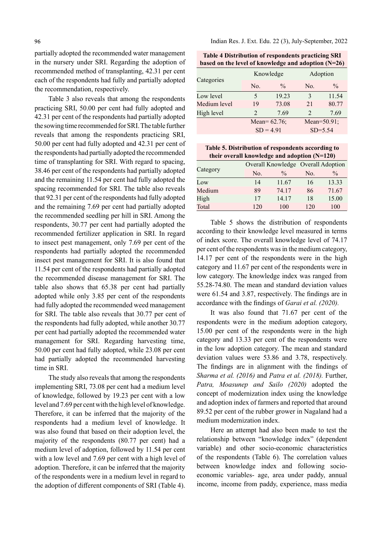partially adopted the recommended water management in the nursery under SRI. Regarding the adoption of recommended method of transplanting, 42.31 per cent each of the respondents had fully and partially adopted the recommendation, respectively.

Table 3 also reveals that among the respondents practicing SRI, 50.00 per cent had fully adopted and 42.31 per cent of the respondents had partially adopted the sowing time recommended for SRI. The table further reveals that among the respondents practicing SRI, 50.00 per cent had fully adopted and 42.31 per cent of the respondents had partially adopted the recommended time of transplanting for SRI. With regard to spacing, 38.46 per cent of the respondents had partially adopted and the remaining 11.54 per cent had fully adopted the spacing recommended for SRI. The table also reveals that 92.31 per cent of the respondents had fully adopted and the remaining 7.69 per cent had partially adopted the recommended seedling per hill in SRI. Among the respondents, 30.77 per cent had partially adopted the recommended fertilizer application in SRI. In regard to insect pest management, only 7.69 per cent of the respondents had partially adopted the recommended insect pest management for SRI. It is also found that 11.54 per cent of the respondents had partially adopted the recommended disease management for SRI. The table also shows that 65.38 per cent had partially adopted while only 3.85 per cent of the respondents had fully adopted the recommended weed management for SRI. The table also reveals that 30.77 per cent of the respondents had fully adopted, while another 30.77 per cent had partially adopted the recommended water management for SRI. Regarding harvesting time, 50.00 per cent had fully adopted, while 23.08 per cent had partially adopted the recommended harvesting time in SRI.

The study also reveals that among the respondents implementing SRI, 73.08 per cent had a medium level of knowledge, followed by 19.23 per cent with a low level and 7.69 per cent with the high level of knowledge. Therefore, it can be inferred that the majority of the respondents had a medium level of knowledge. It was also found that based on their adoption level, the majority of the respondents (80.77 per cent) had a medium level of adoption, followed by 11.54 per cent with a low level and 7.69 per cent with a high level of adoption. Therefore, it can be inferred that the majority of the respondents were in a medium level in regard to the adoption of different components of SRI (Table 4).

Indian Res. J. Ext. Edu. 22 (3), July-September, 2022

Table 4 Distribution of respondents practicing SRI based on the level of knowledge and adoption (N=26)

|              |                | Knowledge       | Adoption                    |               |  |
|--------------|----------------|-----------------|-----------------------------|---------------|--|
| Categories   | No.            | $\frac{0}{0}$   | No.                         | $\frac{0}{0}$ |  |
| Low level    | 5              | 19.23           | 3                           | 11.54         |  |
| Medium level | 19             | 73.08           | 21                          | 80.77         |  |
| High level   | $\mathfrak{D}$ | 7.69            | $\mathcal{D}_{\mathcal{A}}$ | 7.69          |  |
|              |                | Mean= $62.76$ ; | Mean= $50.91$ ;             |               |  |
|              |                | $SD = 4.91$     | $SD = 5.54$                 |               |  |

Table 5. Distribution of respondents according to their overall knowledge and adoption (N=120)

|          |     |               | Overall Knowledge Overall Adoption |               |  |  |
|----------|-----|---------------|------------------------------------|---------------|--|--|
| Category | No. | $\frac{0}{0}$ | No.                                | $\frac{0}{0}$ |  |  |
| Low      | 14  | 11.67         | 16                                 | 13.33         |  |  |
| Medium   | 89  | 74.17         | 86                                 | 71.67         |  |  |
| High     | 17  | 14.17         | 18                                 | 15.00         |  |  |
| Total    | 120 | 100           | 120                                | 100           |  |  |

Table 5 shows the distribution of respondents according to their knowledge level measured in terms of index score. The overall knowledge level of 74.17 per cent of the respondents was in the medium category, 14.17 per cent of the respondents were in the high category and 11.67 per cent of the respondents were in low category. The knowledge index was ranged from 55.28-74.80. The mean and standard deviation values were  $61.54$  and  $3.87$ , respectively. The findings are in accordance with the findings of *Garai et al.* (2020).

It was also found that 71.67 per cent of the respondents were in the medium adoption category, 15.00 per cent of the respondents were in the high category and 13.33 per cent of the respondents were in the low adoption category. The mean and standard deviation values were 53.86 and 3.78, respectively. The findings are in alignment with the findings of Sharma et al. (2016) and Patra et al. (2018). Further, Patra, Moasunep and Sailo (2020) adopted the concept of modernization index using the knowledge and adoption index of farmers and reported that around 89.52 per cent of the rubber grower in Nagaland had a medium modernization index.

Here an attempt had also been made to test the relationship between "knowledge index" (dependent variable) and other socio-economic characteristics of the respondents (Table 6). The correlation values between knowledge index and following socioeconomic variables- age, area under paddy, annual income, income from paddy, experience, mass media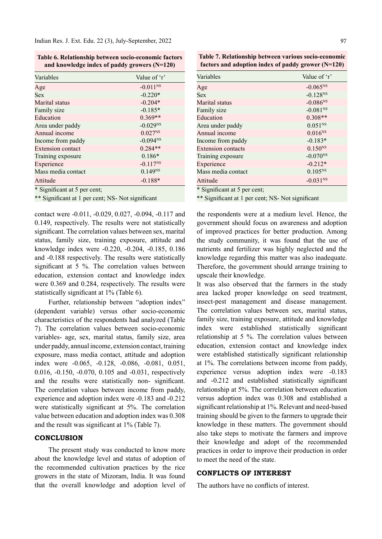Indian Res. J. Ext. Edu. 22 (3), July-September, 2022

Table 6. Relationship between socio-economic factors and knowledge index of paddy growers (N=120)

| Variables                                                                         | Value of 'r'  |
|-----------------------------------------------------------------------------------|---------------|
| Age                                                                               | $-0.011^{NS}$ |
| <b>Sex</b>                                                                        | $-0.220*$     |
| Marital status                                                                    | $-0.204*$     |
| Family size                                                                       | $-0.185*$     |
| Education                                                                         | $0.369**$     |
| Area under paddy                                                                  | $-0.029^{NS}$ |
| Annual income                                                                     | $0.027^{NS}$  |
| Income from paddy                                                                 | $-0.094^{NS}$ |
| <b>Extension contact</b>                                                          | $0.284**$     |
| Training exposure                                                                 | $0.186*$      |
| Experience                                                                        | $-0.117^{NS}$ |
| Mass media contact                                                                | $0.149^{NS}$  |
| Attitude<br>$*$ $\alpha$ <sup>'</sup> $\alpha$ $\alpha$ $\alpha$ $\beta$ $\alpha$ | $-0.188*$     |

\* Signifi cant at 5 per cent;

\*\* Significant at 1 per cent; NS- Not significant

contact were -0.011, -0.029, 0.027, -0.094, -0.117 and 0.149, respectively. The results were not statistically significant. The correlation values between sex, marital status, family size, training exposure, attitude and knowledge index were -0.220, -0.204, -0.185, 0.186 and -0.188 respectively. The results were statistically significant at 5 %. The correlation values between education, extension contact and knowledge index were 0.369 and 0.284, respectively. The results were statistically significant at  $1\%$  (Table 6).

Further, relationship between "adoption index" (dependent variable) versus other socio-economic characteristics of the respondents had analyzed (Table 7). The correlation values between socio-economic variables- age, sex, marital status, family size, area under paddy, annual income, extension contact, training exposure, mass media contact, attitude and adoption index were -0.065, -0.128, -0.086, -0.081, 0.051, 0.016, -0.150, -0.070, 0.105 and -0.031, respectively and the results were statistically non- significant. The correlation values between income from paddy, experience and adoption index were -0.183 and -0.212 were statistically significant at 5%. The correlation value between education and adoption index was 0.308 and the result was significant at  $1\%$  (Table 7).

## **CONCLUSION**

The present study was conducted to know more about the knowledge level and status of adoption of the recommended cultivation practices by the rice growers in the state of Mizoram, India. It was found that the overall knowledge and adoption level of

Table 7. Relationship between various socio-economic factors and adoption index of paddy grower (N=120)

| Variables                                 | Value of $\cdot$ r' |
|-------------------------------------------|---------------------|
| Age                                       | $-0.065^{NS}$       |
| <b>Sex</b>                                | $-0.128^{NS}$       |
| Marital status                            | $-0.086^{NS}$       |
| Family size                               | $-0.081^{NS}$       |
| Education                                 | $0.308**$           |
| Area under paddy                          | $0.051^{NS}$        |
| Annual income                             | $0.016^{NS}$        |
| Income from paddy                         | $-0.183*$           |
| Extension contacts                        | $0.150^{NS}$        |
| Training exposure                         | $-0.070^{NS}$       |
| Experience                                | $-0.212*$           |
| Mass media contact                        | $0.105^{NS}$        |
| Attitude<br>$\mathbf{r} \cdot \mathbf{r}$ | $-0.031^{NS}$       |

\* Signifi cant at 5 per cent;

\*\* Significant at 1 per cent; NS- Not significant

the respondents were at a medium level. Hence, the government should focus on awareness and adoption of improved practices for better production. Among the study community, it was found that the use of nutrients and fertilizer was highly neglected and the knowledge regarding this matter was also inadequate. Therefore, the government should arrange training to upscale their knowledge.

It was also observed that the farmers in the study area lacked proper knowledge on seed treatment, insect-pest management and disease management. The correlation values between sex, marital status, family size, training exposure, attitude and knowledge index were established statistically significant relationship at 5 %. The correlation values between education, extension contact and knowledge index were established statistically significant relationship at 1%. The correlations between income from paddy, experience versus adoption index were -0.183 and -0.212 and established statistically significant relationship at 5%. The correlation between education versus adoption index was 0.308 and established a significant relationship at 1%. Relevant and need-based training should be given to the farmers to upgrade their knowledge in these matters. The government should also take steps to motivate the farmers and improve their knowledge and adopt of the recommended practices in order to improve their production in order to meet the need of the state.

## CONFLICTS OF INTEREST

The authors have no conflicts of interest.